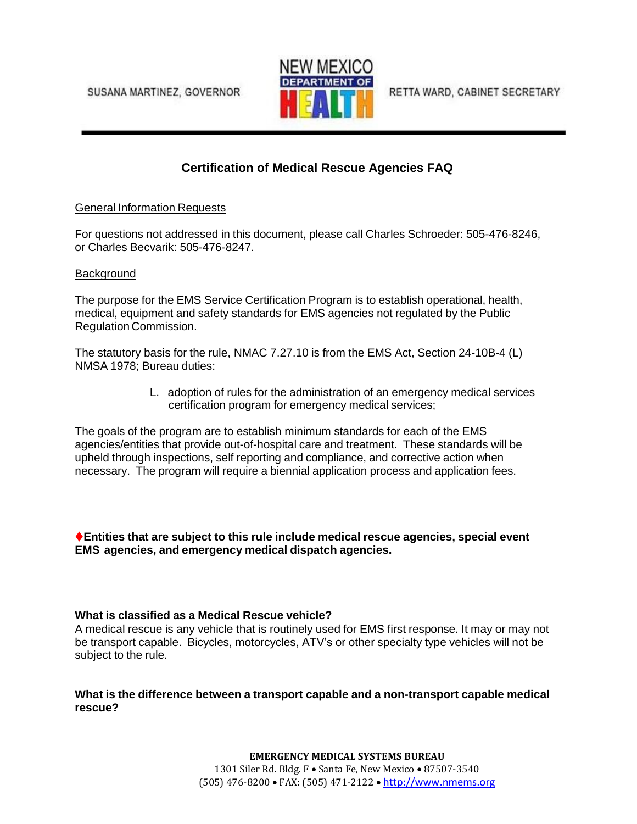SUSANA MARTINEZ, GOVERNOR



RETTA WARD, CABINET SECRETARY

# **Certification of Medical Rescue Agencies FAQ**

### General Information Requests

For questions not addressed in this document, please call Charles Schroeder: 505-476-8246, or Charles Becvarik: 505-476-8247.

### Background

The purpose for the EMS Service Certification Program is to establish operational, health, medical, equipment and safety standards for EMS agencies not regulated by the Public Regulation Commission.

The statutory basis for the rule, NMAC 7.27.10 is from the EMS Act, Section 24-10B-4 (L) NMSA 1978; Bureau duties:

> L. adoption of rules for the administration of an emergency medical services certification program for emergency medical services;

The goals of the program are to establish minimum standards for each of the EMS agencies/entities that provide out-of-hospital care and treatment. These standards will be upheld through inspections, self reporting and compliance, and corrective action when necessary. The program will require a biennial application process and application fees.

**Entities that are subject to this rule include medical rescue agencies, special event EMS agencies, and emergency medical dispatch agencies.**

### **What is classified as a Medical Rescue vehicle?**

A medical rescue is any vehicle that is routinely used for EMS first response. It may or may not be transport capable. Bicycles, motorcycles, ATV's or other specialty type vehicles will not be subject to the rule.

### **What is the difference between a transport capable and a non-transport capable medical rescue?**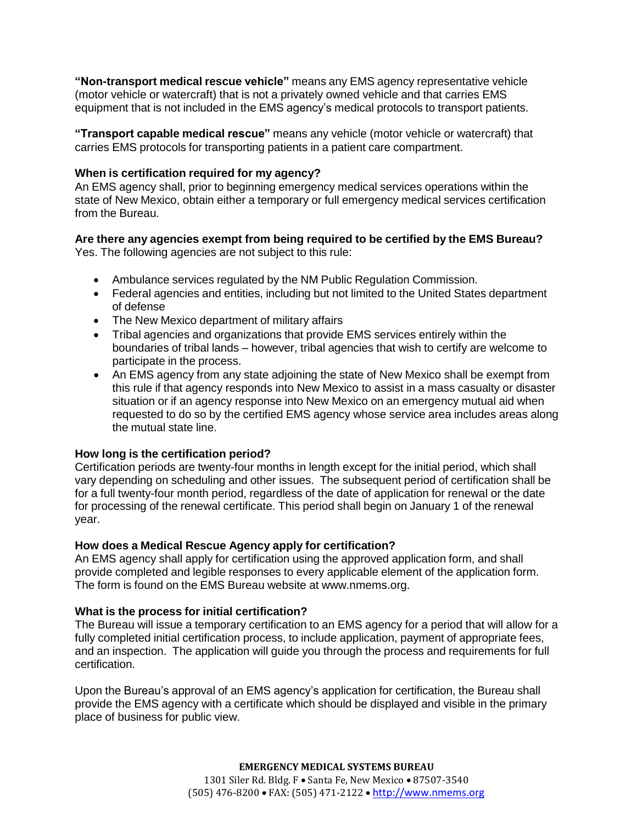**"Non-transport medical rescue vehicle"** means any EMS agency representative vehicle (motor vehicle or watercraft) that is not a privately owned vehicle and that carries EMS equipment that is not included in the EMS agency's medical protocols to transport patients.

**"Transport capable medical rescue"** means any vehicle (motor vehicle or watercraft) that carries EMS protocols for transporting patients in a patient care compartment.

### **When is certification required for my agency?**

An EMS agency shall, prior to beginning emergency medical services operations within the state of New Mexico, obtain either a temporary or full emergency medical services certification from the Bureau.

#### **Are there any agencies exempt from being required to be certified by the EMS Bureau?** Yes. The following agencies are not subject to this rule:

- Ambulance services regulated by the NM Public Regulation Commission.
- Federal agencies and entities, including but not limited to the United States department of defense
- The New Mexico department of military affairs
- Tribal agencies and organizations that provide EMS services entirely within the boundaries of tribal lands – however, tribal agencies that wish to certify are welcome to participate in the process.
- An EMS agency from any state adjoining the state of New Mexico shall be exempt from this rule if that agency responds into New Mexico to assist in a mass casualty or disaster situation or if an agency response into New Mexico on an emergency mutual aid when requested to do so by the certified EMS agency whose service area includes areas along the mutual state line.

### **How long is the certification period?**

Certification periods are twenty-four months in length except for the initial period, which shall vary depending on scheduling and other issues. The subsequent period of certification shall be for a full twenty-four month period, regardless of the date of application for renewal or the date for processing of the renewal certificate. This period shall begin on January 1 of the renewal year.

#### **How does a Medical Rescue Agency apply for certification?**

An EMS agency shall apply for certification using the approved application form, and shall provide completed and legible responses to every applicable element of the application form. The form is found on the EMS Bureau website at [www.nmems.org.](http://www.nmems.org/)

### **What is the process for initial certification?**

The Bureau will issue a temporary certification to an EMS agency for a period that will allow for a fully completed initial certification process, to include application, payment of appropriate fees, and an inspection. The application will guide you through the process and requirements for full certification.

Upon the Bureau's approval of an EMS agency's application for certification, the Bureau shall provide the EMS agency with a certificate which should be displayed and visible in the primary place of business for public view.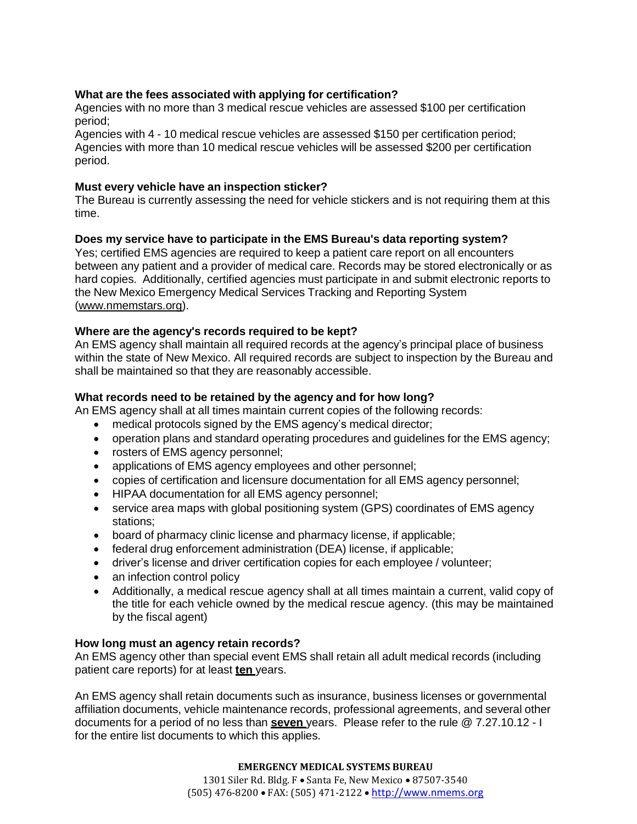### **What are the fees associated with applying for certification?**

Agencies with no more than 3 medical rescue vehicles are assessed \$100 per certification period;

Agencies with 4 - 10 medical rescue vehicles are assessed \$150 per certification period; Agencies with more than 10 medical rescue vehicles will be assessed \$200 per certification period.

### **Must every vehicle have an inspection sticker?**

The Bureau is currently assessing the need for vehicle stickers and is not requiring them at this time.

### **Does my service have to participate in the EMS Bureau's data reporting system?**

Yes; certified EMS agencies are required to keep a patient care report on all encounters between any patient and a provider of medical care. Records may be stored electronically or as hard copies. Additionally, certified agencies must participate in and submit electronic reports to the New Mexico Emergency Medical Services Tracking and Reporting System [\(www.nmemstars.org\)](http://www.nmemstars.org/).

### **Where are the agency's records required to be kept?**

An EMS agency shall maintain all required records at the agency's principal place of business within the state of New Mexico. All required records are subject to inspection by the Bureau and shall be maintained so that they are reasonably accessible.

### **What records need to be retained by the agency and for how long?**

An EMS agency shall at all times maintain current copies of the following records:

- medical protocols signed by the EMS agency's medical director;
- operation plans and standard operating procedures and guidelines for the EMS agency;
- rosters of EMS agency personnel;
- applications of EMS agency employees and other personnel;
- copies of certification and licensure documentation for all EMS agency personnel;
- HIPAA documentation for all EMS agency personnel;
- service area maps with global positioning system (GPS) coordinates of EMS agency stations;
- board of pharmacy clinic license and pharmacy license, if applicable;
- federal drug enforcement administration (DEA) license, if applicable;
- driver's license and driver certification copies for each employee / volunteer;
- an infection control policy
- Additionally, a medical rescue agency shall at all times maintain a current, valid copy of the title for each vehicle owned by the medical rescue agency. (this may be maintained by the fiscal agent)

#### **How long must an agency retain records?**

An EMS agency other than special event EMS shall retain all adult medical records (including patient care reports) for at least **ten** years.

An EMS agency shall retain documents such as insurance, business licenses or governmental affiliation documents, vehicle maintenance records, professional agreements, and several other documents for a period of no less than **seven** years. Please refer to the rule @ 7.27.10.12 - I for the entire list documents to which this applies.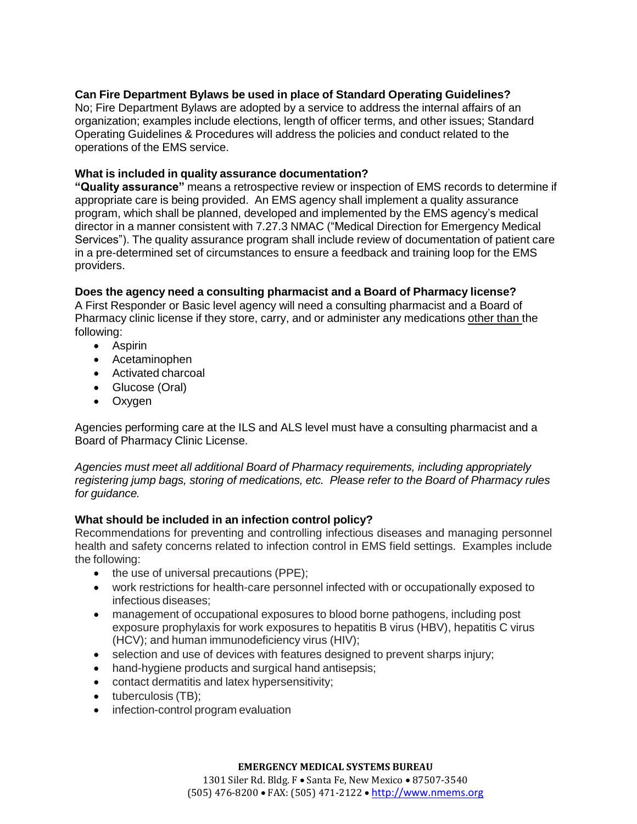# **Can Fire Department Bylaws be used in place of Standard Operating Guidelines?**

No; Fire Department Bylaws are adopted by a service to address the internal affairs of an organization; examples include elections, length of officer terms, and other issues; Standard Operating Guidelines & Procedures will address the policies and conduct related to the operations of the EMS service.

### **What is included in quality assurance documentation?**

**"Quality assurance"** means a retrospective review or inspection of EMS records to determine if appropriate care is being provided. An EMS agency shall implement a quality assurance program, which shall be planned, developed and implemented by the EMS agency's medical director in a manner consistent with 7.27.3 NMAC ("Medical Direction for Emergency Medical Services"). The quality assurance program shall include review of documentation of patient care in a pre-determined set of circumstances to ensure a feedback and training loop for the EMS providers.

# **Does the agency need a consulting pharmacist and a Board of Pharmacy license?**

A First Responder or Basic level agency will need a consulting pharmacist and a Board of Pharmacy clinic license if they store, carry, and or administer any medications other than the following:

- Aspirin
- Acetaminophen
- Activated charcoal
- Glucose (Oral)
- Oxygen

Agencies performing care at the ILS and ALS level must have a consulting pharmacist and a Board of Pharmacy Clinic License.

*Agencies must meet all additional Board of Pharmacy requirements, including appropriately registering jump bags, storing of medications, etc. Please refer to the Board of Pharmacy rules for guidance.*

# **What should be included in an infection control policy?**

Recommendations for preventing and controlling infectious diseases and managing personnel health and safety concerns related to infection control in EMS field settings. Examples include the following:

- the use of universal precautions (PPE);
- work restrictions for health-care personnel infected with or occupationally exposed to infectious diseases;
- management of occupational exposures to blood borne pathogens, including post exposure prophylaxis for work exposures to hepatitis B virus (HBV), hepatitis C virus (HCV); and human immunodeficiency virus (HIV);
- selection and use of devices with features designed to prevent sharps injury;
- hand-hygiene products and surgical hand antisepsis;
- contact dermatitis and latex hypersensitivity;
- tuberculosis (TB);
- infection-control program evaluation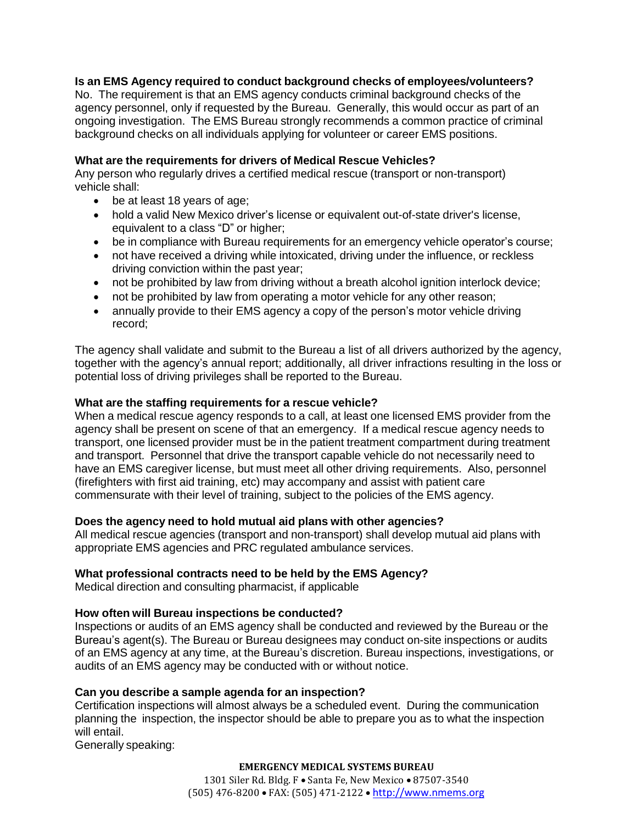### **Is an EMS Agency required to conduct background checks of employees/volunteers?**

No. The requirement is that an EMS agency conducts criminal background checks of the agency personnel, only if requested by the Bureau. Generally, this would occur as part of an ongoing investigation. The EMS Bureau strongly recommends a common practice of criminal background checks on all individuals applying for volunteer or career EMS positions.

### **What are the requirements for drivers of Medical Rescue Vehicles?**

Any person who regularly drives a certified medical rescue (transport or non-transport) vehicle shall:

- be at least 18 years of age;
- hold a valid New Mexico driver's license or equivalent out-of-state driver's license, equivalent to a class "D" or higher;
- be in compliance with Bureau requirements for an emergency vehicle operator's course;
- not have received a driving while intoxicated, driving under the influence, or reckless driving conviction within the past year;
- not be prohibited by law from driving without a breath alcohol ignition interlock device;
- not be prohibited by law from operating a motor vehicle for any other reason;
- annually provide to their EMS agency a copy of the person's motor vehicle driving record;

The agency shall validate and submit to the Bureau a list of all drivers authorized by the agency, together with the agency's annual report; additionally, all driver infractions resulting in the loss or potential loss of driving privileges shall be reported to the Bureau.

### **What are the staffing requirements for a rescue vehicle?**

When a medical rescue agency responds to a call, at least one licensed EMS provider from the agency shall be present on scene of that an emergency. If a medical rescue agency needs to transport, one licensed provider must be in the patient treatment compartment during treatment and transport. Personnel that drive the transport capable vehicle do not necessarily need to have an EMS caregiver license, but must meet all other driving requirements. Also, personnel (firefighters with first aid training, etc) may accompany and assist with patient care commensurate with their level of training, subject to the policies of the EMS agency.

#### **Does the agency need to hold mutual aid plans with other agencies?**

All medical rescue agencies (transport and non-transport) shall develop mutual aid plans with appropriate EMS agencies and PRC regulated ambulance services.

#### **What professional contracts need to be held by the EMS Agency?**

Medical direction and consulting pharmacist, if applicable

#### **How often will Bureau inspections be conducted?**

Inspections or audits of an EMS agency shall be conducted and reviewed by the Bureau or the Bureau's agent(s). The Bureau or Bureau designees may conduct on-site inspections or audits of an EMS agency at any time, at the Bureau's discretion. Bureau inspections, investigations, or audits of an EMS agency may be conducted with or without notice.

#### **Can you describe a sample agenda for an inspection?**

Certification inspections will almost always be a scheduled event. During the communication planning the inspection, the inspector should be able to prepare you as to what the inspection will entail.

Generally speaking: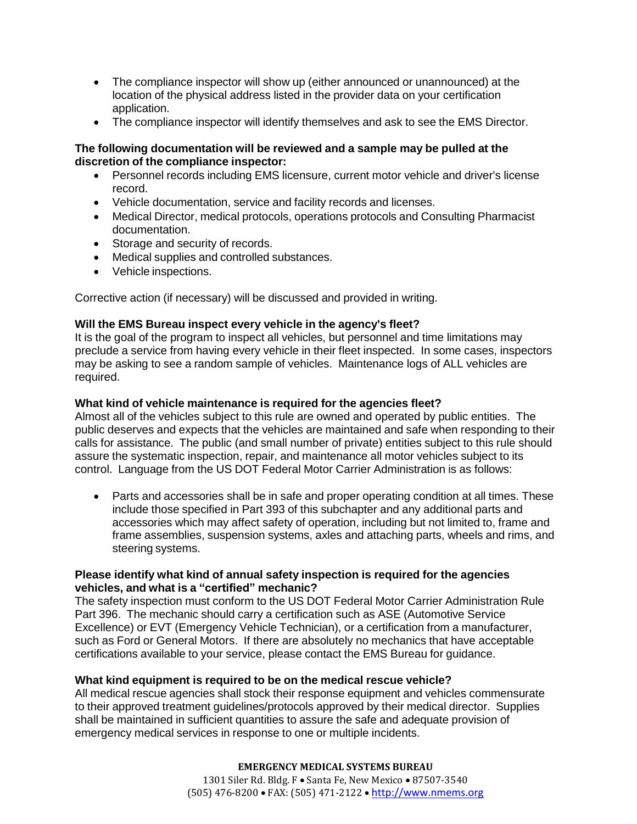- The compliance inspector will show up (either announced or unannounced) at the location of the physical address listed in the provider data on your certification application.
- The compliance inspector will identify themselves and ask to see the EMS Director.

### **The following documentation will be reviewed and a sample may be pulled at the discretion of the compliance inspector:**

- Personnel records including EMS licensure, current motor vehicle and driver's license record.
- Vehicle documentation, service and facility records and licenses.
- Medical Director, medical protocols, operations protocols and Consulting Pharmacist documentation.
- Storage and security of records.
- Medical supplies and controlled substances.
- Vehicle inspections.

Corrective action (if necessary) will be discussed and provided in writing.

### **Will the EMS Bureau inspect every vehicle in the agency's fleet?**

It is the goal of the program to inspect all vehicles, but personnel and time limitations may preclude a service from having every vehicle in their fleet inspected. In some cases, inspectors may be asking to see a random sample of vehicles. Maintenance logs of ALL vehicles are required.

# **What kind of vehicle maintenance is required for the agencies fleet?**

Almost all of the vehicles subject to this rule are owned and operated by public entities. The public deserves and expects that the vehicles are maintained and safe when responding to their calls for assistance. The public (and small number of private) entities subject to this rule should assure the systematic inspection, repair, and maintenance all motor vehicles subject to its control. Language from the US DOT Federal Motor Carrier Administration is as follows:

 Parts and accessories shall be in safe and proper operating condition at all times. These include those specified in Part 393 of this subchapter and any additional parts and accessories which may affect safety of operation, including but not limited to, frame and frame assemblies, suspension systems, axles and attaching parts, wheels and rims, and steering systems.

### **Please identify what kind of annual safety inspection is required for the agencies vehicles, and what is a "certified" mechanic?**

The safety inspection must conform to the US DOT Federal Motor Carrier Administration Rule Part 396. The mechanic should carry a certification such as ASE (Automotive Service Excellence) or EVT (Emergency Vehicle Technician), or a certification from a manufacturer, such as Ford or General Motors. If there are absolutely no mechanics that have acceptable certifications available to your service, please contact the EMS Bureau for guidance.

### **What kind equipment is required to be on the medical rescue vehicle?**

All medical rescue agencies shall stock their response equipment and vehicles commensurate to their approved treatment guidelines/protocols approved by their medical director. Supplies shall be maintained in sufficient quantities to assure the safe and adequate provision of emergency medical services in response to one or multiple incidents.